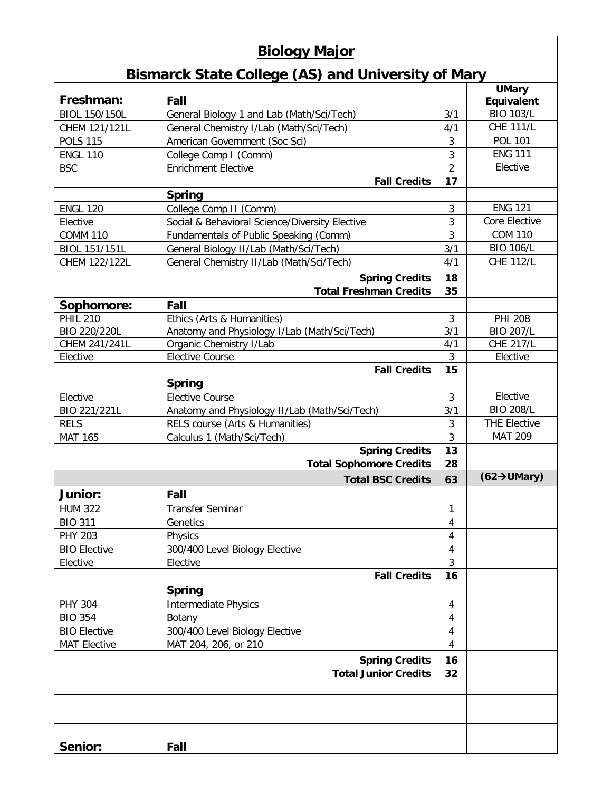## **Biology Major**

## **Bismarck State College (AS) and University of Mary**

|                      |                                                |                  | <b>UMary</b>                    |
|----------------------|------------------------------------------------|------------------|---------------------------------|
| Freshman:            | Fall                                           |                  | Equivalent                      |
| <b>BIOL 150/150L</b> | General Biology 1 and Lab (Math/Sci/Tech)      | 3/1              | <b>BIO 103/L</b>                |
| CHEM 121/121L        | General Chemistry I/Lab (Math/Sci/Tech)        | 4/1              | <b>CHE 111/L</b>                |
| <b>POLS 115</b>      | American Government (Soc Sci)                  | 3                | <b>POL 101</b>                  |
| <b>ENGL 110</b>      | College Comp I (Comm)                          | 3                | <b>ENG 111</b>                  |
| <b>BSC</b>           | <b>Enrichment Elective</b>                     | $\overline{2}$   | Elective                        |
|                      | <b>Fall Credits</b>                            | 17               |                                 |
|                      | <b>Spring</b>                                  |                  |                                 |
| <b>ENGL 120</b>      | College Comp II (Comm)                         | 3                | <b>ENG 121</b>                  |
| Elective             | Social & Behavioral Science/Diversity Elective | 3                | Core Elective                   |
| <b>COMM 110</b>      | Fundamentals of Public Speaking (Comm)         | 3                | <b>COM 110</b>                  |
| BIOL 151/151L        | General Biology II/Lab (Math/Sci/Tech)         | 3/1              | <b>BIO 106/L</b>                |
| CHEM 122/122L        | General Chemistry II/Lab (Math/Sci/Tech)       | 4/1              | <b>CHE 112/L</b>                |
|                      | <b>Spring Credits</b>                          | 18               |                                 |
|                      | <b>Total Freshman Credits</b>                  | 35               |                                 |
| Sophomore:           | Fall                                           |                  |                                 |
| <b>PHIL 210</b>      | Ethics (Arts & Humanities)                     | 3                | <b>PHI 208</b>                  |
| BIO 220/220L         | Anatomy and Physiology I/Lab (Math/Sci/Tech)   | $\overline{3/1}$ | <b>BIO 207/L</b>                |
| CHEM 241/241L        | Organic Chemistry I/Lab                        | 4/1              | <b>CHE 217/L</b>                |
| Elective             | <b>Elective Course</b>                         | 3                | Elective                        |
|                      | <b>Fall Credits</b>                            | 15               |                                 |
|                      | <b>Spring</b>                                  |                  |                                 |
| Elective             | <b>Elective Course</b>                         | 3                | Elective                        |
| BIO 221/221L         | Anatomy and Physiology II/Lab (Math/Sci/Tech)  | 3/1              | <b>BIO 208/L</b>                |
| <b>RELS</b>          | RELS course (Arts & Humanities)                | $\mathbf{3}$     | <b>THE Elective</b>             |
| <b>MAT 165</b>       | Calculus 1 (Math/Sci/Tech)                     | 3                | <b>MAT 209</b>                  |
|                      | <b>Spring Credits</b>                          | 13               |                                 |
|                      | <b>Total Sophomore Credits</b>                 | 28               |                                 |
|                      | <b>Total BSC Credits</b>                       | 63               | $(62 \rightarrow \text{UMary})$ |
| <b>Junior:</b>       | Fall                                           |                  |                                 |
| <b>HUM 322</b>       | <b>Transfer Seminar</b>                        | 1                |                                 |
| <b>BIO 311</b>       | Genetics                                       | 4                |                                 |
| <b>PHY 203</b>       | Physics                                        | 4                |                                 |
| <b>BIO Elective</b>  | 300/400 Level Biology Elective                 | 4                |                                 |
| Elective             | Elective                                       | $\mathbf{3}$     |                                 |
|                      | <b>Fall Credits</b>                            | 16               |                                 |
|                      | <b>Spring</b>                                  |                  |                                 |
| <b>PHY 304</b>       | <b>Intermediate Physics</b>                    | 4                |                                 |
| <b>BIO 354</b>       | Botany                                         | 4                |                                 |
| <b>BIO Elective</b>  | 300/400 Level Biology Elective                 | 4                |                                 |
| <b>MAT Elective</b>  | MAT 204, 206, or 210                           | 4                |                                 |
|                      | <b>Spring Credits</b>                          | 16               |                                 |
|                      | <b>Total Junior Credits</b>                    | 32               |                                 |
|                      |                                                |                  |                                 |
|                      |                                                |                  |                                 |
|                      |                                                |                  |                                 |
|                      |                                                |                  |                                 |
| Senior:              |                                                |                  |                                 |
|                      | Fall                                           |                  |                                 |